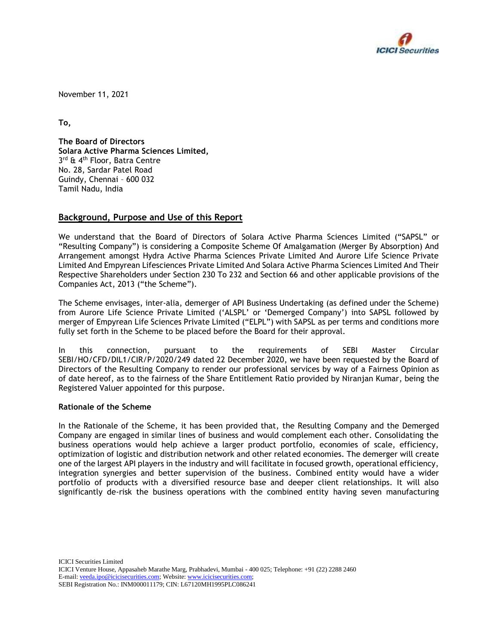

November 11, 2021

**To,**

**The Board of Directors Solara Active Pharma Sciences Limited,** 3<sup>rd</sup> & 4<sup>th</sup> Floor, Batra Centre No. 28, Sardar Patel Road Guindy, Chennai – 600 032 Tamil Nadu, India

# **Background, Purpose and Use of this Report**

We understand that the Board of Directors of Solara Active Pharma Sciences Limited ("SAPSL" or "Resulting Company") is considering a Composite Scheme Of Amalgamation (Merger By Absorption) And Arrangement amongst Hydra Active Pharma Sciences Private Limited And Aurore Life Science Private Limited And Empyrean Lifesciences Private Limited And Solara Active Pharma Sciences Limited And Their Respective Shareholders under Section 230 To 232 and Section 66 and other applicable provisions of the Companies Act, 2013 ("the Scheme").

The Scheme envisages, inter-alia, demerger of API Business Undertaking (as defined under the Scheme) from Aurore Life Science Private Limited ('ALSPL' or 'Demerged Company') into SAPSL followed by merger of Empyrean Life Sciences Private Limited ("ELPL") with SAPSL as per terms and conditions more fully set forth in the Scheme to be placed before the Board for their approval.

In this connection, pursuant to the requirements of SEBI Master Circular SEBI/HO/CFD/DIL1/CIR/P/2020/249 dated 22 December 2020, we have been requested by the Board of Directors of the Resulting Company to render our professional services by way of a Fairness Opinion as of date hereof, as to the fairness of the Share Entitlement Ratio provided by Niranjan Kumar, being the Registered Valuer appointed for this purpose.

## **Rationale of the Scheme**

In the Rationale of the Scheme, it has been provided that, the Resulting Company and the Demerged Company are engaged in similar lines of business and would complement each other. Consolidating the business operations would help achieve a larger product portfolio, economies of scale, efficiency, optimization of logistic and distribution network and other related economies. The demerger will create one of the largest API players in the industry and will facilitate in focused growth, operational efficiency, integration synergies and better supervision of the business. Combined entity would have a wider portfolio of products with a diversified resource base and deeper client relationships. It will also significantly de-risk the business operations with the combined entity having seven manufacturing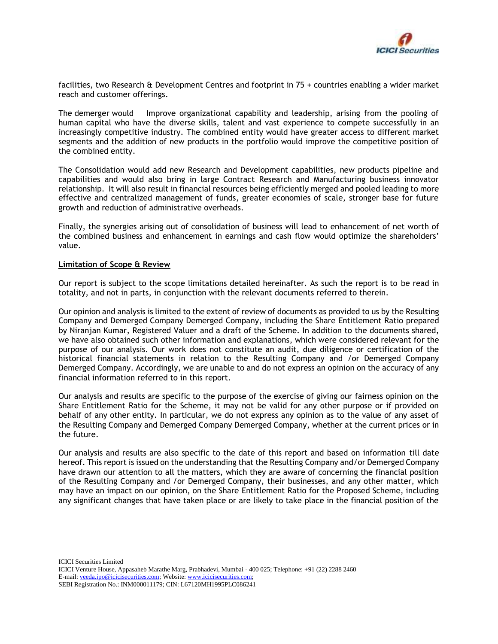

facilities, two Research & Development Centres and footprint in 75 + countries enabling a wider market reach and customer offerings.

The demerger would Improve organizational capability and leadership, arising from the pooling of human capital who have the diverse skills, talent and vast experience to compete successfully in an increasingly competitive industry. The combined entity would have greater access to different market segments and the addition of new products in the portfolio would improve the competitive position of the combined entity.

The Consolidation would add new Research and Development capabilities, new products pipeline and capabilities and would also bring in large Contract Research and Manufacturing business innovator relationship. It will also result in financial resources being efficiently merged and pooled leading to more effective and centralized management of funds, greater economies of scale, stronger base for future growth and reduction of administrative overheads.

Finally, the synergies arising out of consolidation of business will lead to enhancement of net worth of the combined business and enhancement in earnings and cash flow would optimize the shareholders' value.

#### **Limitation of Scope & Review**

Our report is subject to the scope limitations detailed hereinafter. As such the report is to be read in totality, and not in parts, in conjunction with the relevant documents referred to therein.

Our opinion and analysis is limited to the extent of review of documents as provided to us by the Resulting Company and Demerged Company Demerged Company, including the Share Entitlement Ratio prepared by Niranjan Kumar, Registered Valuer and a draft of the Scheme. In addition to the documents shared, we have also obtained such other information and explanations, which were considered relevant for the purpose of our analysis. Our work does not constitute an audit, due diligence or certification of the historical financial statements in relation to the Resulting Company and /or Demerged Company Demerged Company. Accordingly, we are unable to and do not express an opinion on the accuracy of any financial information referred to in this report.

Our analysis and results are specific to the purpose of the exercise of giving our fairness opinion on the Share Entitlement Ratio for the Scheme, it may not be valid for any other purpose or if provided on behalf of any other entity. In particular, we do not express any opinion as to the value of any asset of the Resulting Company and Demerged Company Demerged Company, whether at the current prices or in the future.

Our analysis and results are also specific to the date of this report and based on information till date hereof. This report is issued on the understanding that the Resulting Company and/or Demerged Company have drawn our attention to all the matters, which they are aware of concerning the financial position of the Resulting Company and /or Demerged Company, their businesses, and any other matter, which may have an impact on our opinion, on the Share Entitlement Ratio for the Proposed Scheme, including any significant changes that have taken place or are likely to take place in the financial position of the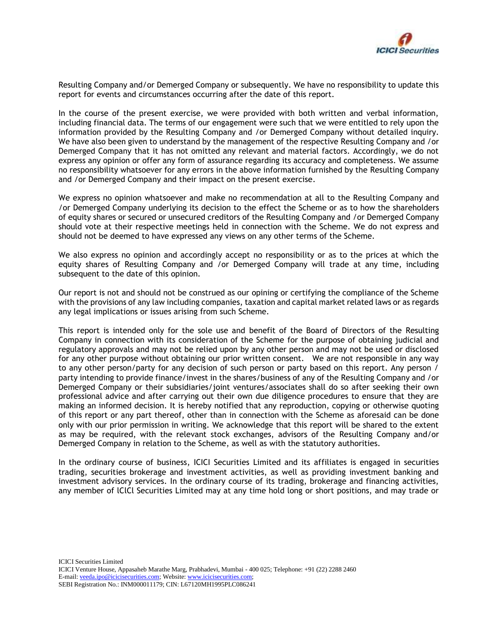

Resulting Company and/or Demerged Company or subsequently. We have no responsibility to update this report for events and circumstances occurring after the date of this report.

In the course of the present exercise, we were provided with both written and verbal information, including financial data. The terms of our engagement were such that we were entitled to rely upon the information provided by the Resulting Company and /or Demerged Company without detailed inquiry. We have also been given to understand by the management of the respective Resulting Company and /or Demerged Company that it has not omitted any relevant and material factors. Accordingly, we do not express any opinion or offer any form of assurance regarding its accuracy and completeness. We assume no responsibility whatsoever for any errors in the above information furnished by the Resulting Company and /or Demerged Company and their impact on the present exercise.

We express no opinion whatsoever and make no recommendation at all to the Resulting Company and /or Demerged Company underlying its decision to the effect the Scheme or as to how the shareholders of equity shares or secured or unsecured creditors of the Resulting Company and /or Demerged Company should vote at their respective meetings held in connection with the Scheme. We do not express and should not be deemed to have expressed any views on any other terms of the Scheme.

We also express no opinion and accordingly accept no responsibility or as to the prices at which the equity shares of Resulting Company and /or Demerged Company will trade at any time, including subsequent to the date of this opinion.

Our report is not and should not be construed as our opining or certifying the compliance of the Scheme with the provisions of any law including companies, taxation and capital market related laws or as regards any legal implications or issues arising from such Scheme.

This report is intended only for the sole use and benefit of the Board of Directors of the Resulting Company in connection with its consideration of the Scheme for the purpose of obtaining judicial and regulatory approvals and may not be relied upon by any other person and may not be used or disclosed for any other purpose without obtaining our prior written consent. We are not responsible in any way to any other person/party for any decision of such person or party based on this report. Any person / party intending to provide finance/invest in the shares/business of any of the Resulting Company and /or Demerged Company or their subsidiaries/joint ventures/associates shall do so after seeking their own professional advice and after carrying out their own due diligence procedures to ensure that they are making an informed decision. It is hereby notified that any reproduction, copying or otherwise quoting of this report or any part thereof, other than in connection with the Scheme as aforesaid can be done only with our prior permission in writing. We acknowledge that this report will be shared to the extent as may be required, with the relevant stock exchanges, advisors of the Resulting Company and/or Demerged Company in relation to the Scheme, as well as with the statutory authorities.

In the ordinary course of business, ICICI Securities Limited and its affiliates is engaged in securities trading, securities brokerage and investment activities, as well as providing investment banking and investment advisory services. In the ordinary course of its trading, brokerage and financing activities, any member of lClCl Securities Limited may at any time hold long or short positions, and may trade or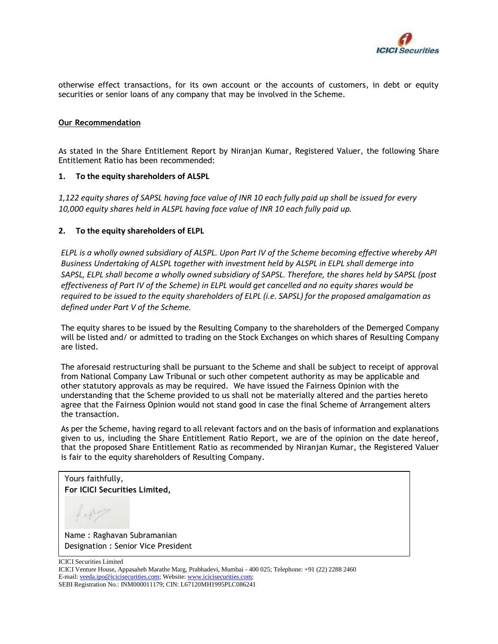

otherwise effect transactions, for its own account or the accounts of customers, in debt or equity securities or senior loans of any company that may be involved in the Scheme.

### **Our Recommendation**

As stated in the Share Entitlement Report by Niranjan Kumar, Registered Valuer, the following Share Entitlement Ratio has been recommended:

#### **1. To the equity shareholders of ALSPL**

*1,122 equity shares of SAPSL having face value of INR 10 each fully paid up shall be issued for every 10,000 equity shares held in ALSPL having face value of INR 10 each fully paid up.* 

## **2. To the equity shareholders of ELPL**

*ELPL is a wholly owned subsidiary of ALSPL. Upon Part IV of the Scheme becoming effective whereby API Business Undertaking of ALSPL together with investment held by ALSPL in ELPL shall demerge into SAPSL, ELPL shall become a wholly owned subsidiary of SAPSL. Therefore, the shares held by SAPSL (post effectiveness of Part IV of the Scheme) in ELPL would get cancelled and no equity shares would be required to be issued to the equity shareholders of ELPL (i.e. SAPSL) for the proposed amalgamation as defined under Part V of the Scheme.*

The equity shares to be issued by the Resulting Company to the shareholders of the Demerged Company will be listed and/ or admitted to trading on the Stock Exchanges on which shares of Resulting Company are listed.

The aforesaid restructuring shall be pursuant to the Scheme and shall be subject to receipt of approval from National Company Law Tribunal or such other competent authority as may be applicable and other statutory approvals as may be required. We have issued the Fairness Opinion with the understanding that the Scheme provided to us shall not be materially altered and the parties hereto agree that the Fairness Opinion would not stand good in case the final Scheme of Arrangement alters the transaction.

As per the Scheme, having regard to all relevant factors and on the basis of information and explanations given to us, including the Share Entitlement Ratio Report, we are of the opinion on the date hereof, that the proposed Share Entitlement Ratio as recommended by Niranjan Kumar, the Registered Valuer is fair to the equity shareholders of Resulting Company.

Yours faithfully, **For ICICI Securities Limited,**

Name : Raghavan Subramanian Designation : Senior Vice President

ICICI Securities Limited

ICICI Venture House, Appasaheb Marathe Marg, Prabhadevi, Mumbai - 400 025; Telephone: +91 (22) 2288 2460 E-mail[: veeda.ipo@icicisecurities.com;](mailto:veeda.ipo@icicisecurities.com) Website[: www.icicisecurities.com;](http://www.icicisecurities.com/)  SEBI Registration No.: INM000011179; CIN: L67120MH1995PLC086241